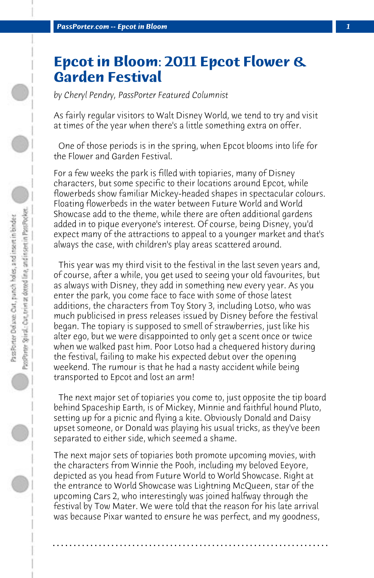## **Epcot in Bloom: 2011 Epcot Flower & Garden Festival**

*by Cheryl Pendry, PassPorter Featured Columnist*

As fairly regular visitors to Walt Disney World, we tend to try and visit at times of the year when there's a little something extra on offer.

 One of those periods is in the spring, when Epcot blooms into life for the Flower and Garden Festival.

For a few weeks the park is filled with topiaries, many of Disney characters, but some specific to their locations around Epcot, while flowerbeds show familiar Mickey-headed shapes in spectacular colours. Floating flowerbeds in the water between Future World and World Showcase add to the theme, while there are often additional gardens added in to pique everyone's interest. Of course, being Disney, you'd expect many of the attractions to appeal to a younger market and that's always the case, with children's play areas scattered around.

 This year was my third visit to the festival in the last seven years and, of course, after a while, you get used to seeing your old favourites, but as always with Disney, they add in something new every year. As you enter the park, you come face to face with some of those latest additions, the characters from Toy Story 3, including Lotso, who was much publicised in press releases issued by Disney before the festival began. The topiary is supposed to smell of strawberries, just like his alter ego, but we were disappointed to only get a scent once or twice when we walked past him. Poor Lotso had a chequered history during the festival, failing to make his expected debut over the opening weekend. The rumour is that he had a nasty accident while being transported to Epcot and lost an arm!

 The next major set of topiaries you come to, just opposite the tip board behind Spaceship Earth, is of Mickey, Minnie and faithful hound Pluto, setting up for a picnic and flying a kite. Obviously Donald and Daisy upset someone, or Donald was playing his usual tricks, as they've been separated to either side, which seemed a shame.

The next major sets of topiaries both promote upcoming movies, with the characters from Winnie the Pooh, including my beloved Eeyore, depicted as you head from Future World to World Showcase. Right at the entrance to World Showcase was Lightning McQueen, star of the upcoming Cars 2, who interestingly was joined halfway through the festival by Tow Mater. We were told that the reason for his late arrival was because Pixar wanted to ensure he was perfect, and my goodness,

**. . . . . . . . . . . . . . . . . . . . . . . . . . . . . . . . . . . . . . . . . . . . . . . . . . . . . . . . . . . . . . . . . .**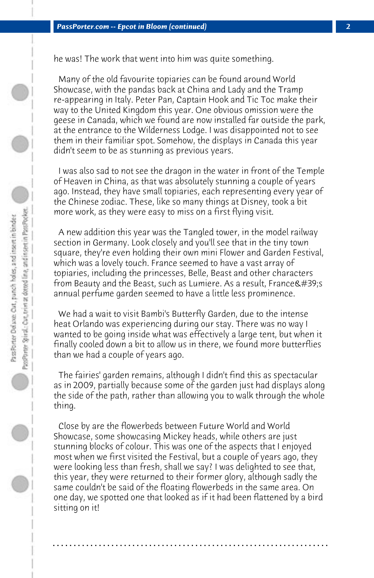he was! The work that went into him was quite something.

 Many of the old favourite topiaries can be found around World Showcase, with the pandas back at China and Lady and the Tramp re-appearing in Italy. Peter Pan, Captain Hook and Tic Toc make their way to the United Kingdom this year. One obvious omission were the geese in Canada, which we found are now installed far outside the park, at the entrance to the Wilderness Lodge. I was disappointed not to see them in their familiar spot. Somehow, the displays in Canada this year didn't seem to be as stunning as previous years.

 I was also sad to not see the dragon in the water in front of the Temple of Heaven in China, as that was absolutely stunning a couple of years ago. Instead, they have small topiaries, each representing every year of the Chinese zodiac. These, like so many things at Disney, took a bit more work, as they were easy to miss on a first flying visit.

 A new addition this year was the Tangled tower, in the model railway section in Germany. Look closely and you'll see that in the tiny town square, they're even holding their own mini Flower and Garden Festival, which was a lovely touch. France seemed to have a vast array of topiaries, including the princesses, Belle, Beast and other characters from Beauty and the Beast, such as Lumiere. As a result, France's annual perfume garden seemed to have a little less prominence.

 We had a wait to visit Bambi's Butterfly Garden, due to the intense heat Orlando was experiencing during our stay. There was no way I wanted to be going inside what was effectively a large tent, but when it finally cooled down a bit to allow us in there, we found more butterflies than we had a couple of years ago.

 The fairies' garden remains, although I didn't find this as spectacular as in 2009, partially because some of the garden just had displays along the side of the path, rather than allowing you to walk through the whole thing.

 Close by are the flowerbeds between Future World and World Showcase, some showcasing Mickey heads, while others are just stunning blocks of colour. This was one of the aspects that I enjoyed most when we first visited the Festival, but a couple of years ago, they were looking less than fresh, shall we say? I was delighted to see that, this year, they were returned to their former glory, although sadly the same couldn't be said of the floating flowerbeds in the same area. On one day, we spotted one that looked as if it had been flattened by a bird sitting on it!

**. . . . . . . . . . . . . . . . . . . . . . . . . . . . . . . . . . . . . . . . . . . . . . . . . . . . . . . . . . . . . . . . . .**